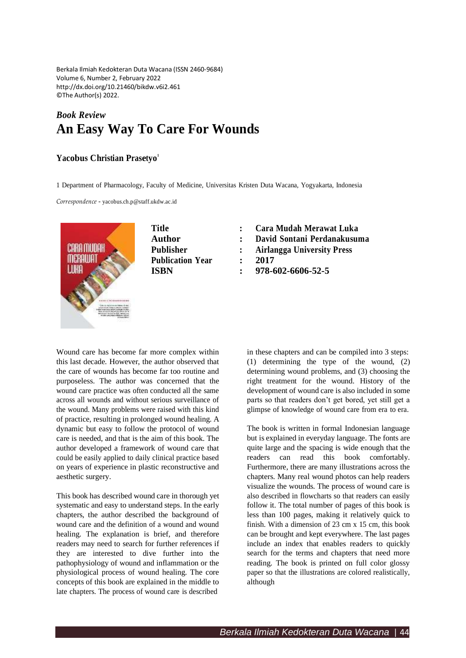Berkala Ilmiah Kedokteran Duta Wacana (ISSN 2460-9684) Volume 6, Number 2, February 2022 <http://dx.doi.org/10.21460/bikdw.v6i2.461> ©The Author(s) 2022.

## *Book Review* **An Easy Way To Care For Wounds**

## **Yacobus Christian Prasetyo 1**

1 Department of Pharmacology, Faculty of Medicine, Universitas Kristen Duta Wacana, Yogyakarta, Indonesia

*Correspondence* - [yacobus.ch.p@staff.ukdw.ac.id](mailto:yacobus.ch.p@staff.ukdw.ac.id)



| Title                   | Cara  |
|-------------------------|-------|
| Author                  | David |
| <b>Publisher</b>        | Airla |
| <b>Publication Year</b> | 2017  |
| <b>ISRN</b>             | 978-6 |

- **Title : Cara Mudah Merawat Luka**
- **Author : David Sontani Perdanakusuma**
- **Publisher : Airlangga University Press**
	-
	- **ISBN : 978-602-6606-52-5**

Wound care has become far more complex within this last decade. However, the author observed that the care of wounds has become far too routine and purposeless. The author was concerned that the wound care practice was often conducted all the same across all wounds and without serious surveillance of the wound. Many problems were raised with this kind of practice, resulting in prolonged wound healing. A dynamic but easy to follow the protocol of wound care is needed, and that is the aim of this book. The author developed a framework of wound care that could be easily applied to daily clinical practice based on years of experience in plastic reconstructive and aesthetic surgery.

This book has described wound care in thorough yet systematic and easy to understand steps. In the early chapters, the author described the background of wound care and the definition of a wound and wound healing. The explanation is brief, and therefore readers may need to search for further references if they are interested to dive further into the pathophysiology of wound and inflammation or the physiological process of wound healing. The core concepts of this book are explained in the middle to late chapters. The process of wound care is described

in these chapters and can be compiled into 3 steps: (1) determining the type of the wound, (2) determining wound problems, and (3) choosing the right treatment for the wound. History of the development of wound care is also included in some parts so that readers don't get bored, yet still get a glimpse of knowledge of wound care from era to era.

The book is written in formal Indonesian language but is explained in everyday language. The fonts are quite large and the spacing is wide enough that the readers can read this book comfortably. Furthermore, there are many illustrations across the chapters. Many real wound photos can help readers visualize the wounds. The process of wound care is also described in flowcharts so that readers can easily follow it. The total number of pages of this book is less than 100 pages, making it relatively quick to finish. With a dimension of 23 cm x 15 cm, this book can be brought and kept everywhere. The last pages include an index that enables readers to quickly search for the terms and chapters that need more reading. The book is printed on full color glossy paper so that the illustrations are colored realistically, although